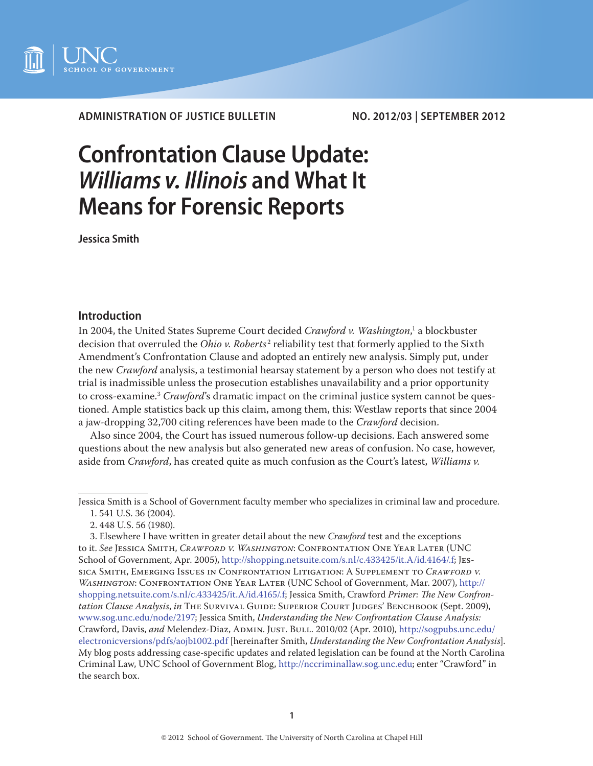

**ADMINISTRATION OF JUSTICE BULLETIN NO. 2012/03 | SEPTEMBER 2012**

# **Confrontation Clause Update:**  *Williams v. Illinois* **and What It Means for Forensic Reports**

**Jessica Smith**

# **Introduction**

In 2004, the United States Supreme Court decided *Crawford v. Washington*,<sup>1</sup> a blockbuster decision that overruled the *Ohio v. Roberts<sup>2</sup>* reliability test that formerly applied to the Sixth Amendment's Confrontation Clause and adopted an entirely new analysis. Simply put, under the new *Crawford* analysis, a testimonial hearsay statement by a person who does not testify at trial is inadmissible unless the prosecution establishes unavailability and a prior opportunity to cross-examine.3 *Crawford*'s dramatic impact on the criminal justice system cannot be questioned. Ample statistics back up this claim, among them, this: Westlaw reports that since 2004 a jaw-dropping 32,700 citing references have been made to the *Crawford* decision.

Also since 2004, the Court has issued numerous follow-up decisions. Each answered some questions about the new analysis but also generated new areas of confusion. No case, however, aside from *Crawford*, has created quite as much confusion as the Court's latest, *Williams v.* 

Jessica Smith is a School of Government faculty member who specializes in criminal law and procedure.

<sup>1. 541</sup> U.S. 36 (2004).

<sup>2. 448</sup> U.S. 56 (1980).

<sup>3.</sup> Elsewhere I have written in greater detail about the new *Crawford* test and the exceptions to it. *See* Jessica Smith, *Crawford v. Washington*: Confrontation One Year Later (UNC School of Government, Apr. 2005), http://shopping.netsuite.com/s.nl/c.433425/it.A/id.4164/.f; Jessica Smith, Emerging Issues in Confrontation Litigation: A Supplement to *Crawford v. Washington*: Confrontation One Year Later (UNC School of Government, Mar. 2007), http:// shopping.netsuite.com/s.nl/c.433425/it.A/id.4165/.f; Jessica Smith, Crawford *Primer: The New Confrontation Clause Analysis*, *in* The Survival Guide: Superior Court Judges' Benchbook (Sept. 2009), www.sog.unc.edu/node/2197; Jessica Smith, *Understanding the New Confrontation Clause Analysis:*  Crawford, Davis, and Melendez-Diaz, ADMIN. JUST. BULL. 2010/02 (Apr. 2010), [http://sogpubs.unc.edu/](http://sogpubs.unc.edu/electronicversions/pdfs/aojb1002.pdf) [electronicversions/pdfs/aojb1002.pdf](http://sogpubs.unc.edu/electronicversions/pdfs/aojb1002.pdf) [hereinafter Smith, *Understanding the New Confrontation Analysis*]. My blog posts addressing case-specific updates and related legislation can be found at the North Carolina Criminal Law, UNC School of Government Blog, http://nccriminallaw.sog.unc.edu; enter "Crawford" in the search box.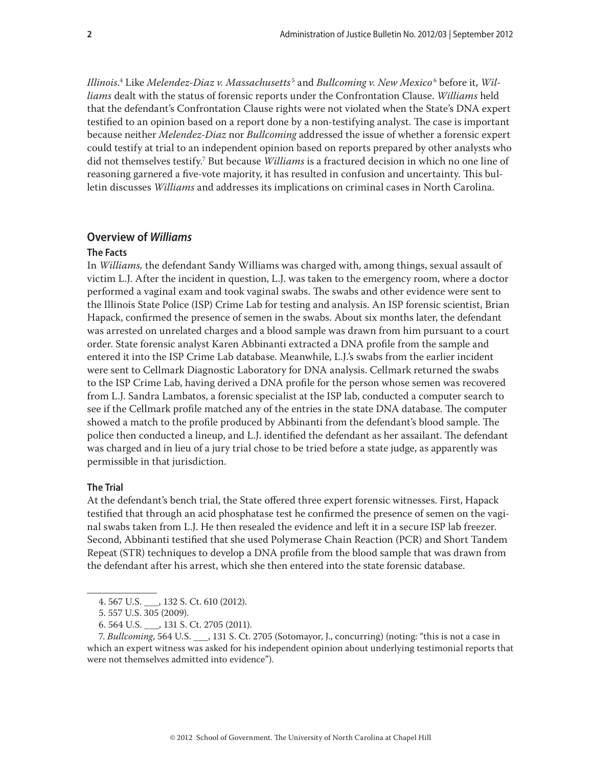*Illinois*. 4 Like *Melendez-Diaz v. Massachusetts* <sup>5</sup> and *Bullcoming v. New Mexico* <sup>6</sup> before it, *Williams* dealt with the status of forensic reports under the Confrontation Clause. *Williams* held that the defendant's Confrontation Clause rights were not violated when the State's DNA expert testified to an opinion based on a report done by a non-testifying analyst. The case is important because neither *Melendez-Diaz* nor *Bullcoming* addressed the issue of whether a forensic expert could testify at trial to an independent opinion based on reports prepared by other analysts who did not themselves testify.7 But because *Williams* is a fractured decision in which no one line of reasoning garnered a five-vote majority, it has resulted in confusion and uncertainty. This bulletin discusses *Williams* and addresses its implications on criminal cases in North Carolina.

# **Overview of** *Williams*

# **The Facts**

In *Williams,* the defendant Sandy Williams was charged with, among things, sexual assault of victim L.J. After the incident in question, L.J. was taken to the emergency room, where a doctor performed a vaginal exam and took vaginal swabs. The swabs and other evidence were sent to the Illinois State Police (ISP) Crime Lab for testing and analysis. An ISP forensic scientist, Brian Hapack, confirmed the presence of semen in the swabs. About six months later, the defendant was arrested on unrelated charges and a blood sample was drawn from him pursuant to a court order. State forensic analyst Karen Abbinanti extracted a DNA profile from the sample and entered it into the ISP Crime Lab database. Meanwhile, L.J.'s swabs from the earlier incident were sent to Cellmark Diagnostic Laboratory for DNA analysis. Cellmark returned the swabs to the ISP Crime Lab, having derived a DNA profile for the person whose semen was recovered from L.J. Sandra Lambatos, a forensic specialist at the ISP lab, conducted a computer search to see if the Cellmark profile matched any of the entries in the state DNA database. The computer showed a match to the profile produced by Abbinanti from the defendant's blood sample. The police then conducted a lineup, and L.J. identified the defendant as her assailant. The defendant was charged and in lieu of a jury trial chose to be tried before a state judge, as apparently was permissible in that jurisdiction.

#### **The Trial**

At the defendant's bench trial, the State offered three expert forensic witnesses. First, Hapack testified that through an acid phosphatase test he confirmed the presence of semen on the vaginal swabs taken from L.J. He then resealed the evidence and left it in a secure ISP lab freezer. Second, Abbinanti testified that she used Polymerase Chain Reaction (PCR) and Short Tandem Repeat (STR) techniques to develop a DNA profile from the blood sample that was drawn from the defendant after his arrest, which she then entered into the state forensic database.

<sup>4. 567</sup> U.S. \_\_\_, 132 S. Ct. 610 (2012).

<sup>5. 557</sup> U.S. 305 (2009).

<sup>6. 564</sup> U.S. \_\_\_, 131 S. Ct. 2705 (2011).

<sup>7.</sup> *Bullcoming*, 564 U.S. \_\_\_, 131 S. Ct. 2705 (Sotomayor, J., concurring) (noting: "this is not a case in which an expert witness was asked for his independent opinion about underlying testimonial reports that were not themselves admitted into evidence").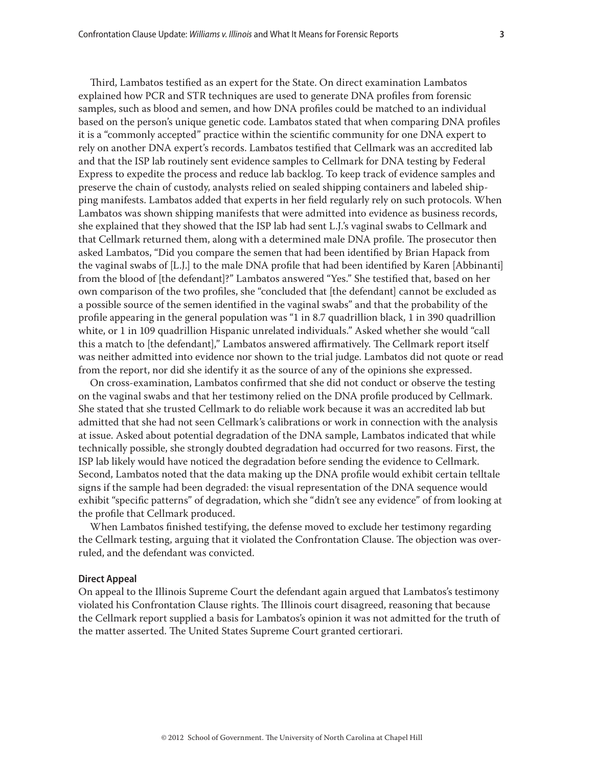Third, Lambatos testified as an expert for the State. On direct examination Lambatos explained how PCR and STR techniques are used to generate DNA profiles from forensic samples, such as blood and semen, and how DNA profiles could be matched to an individual based on the person's unique genetic code. Lambatos stated that when comparing DNA profiles it is a "commonly accepted" practice within the scientific community for one DNA expert to rely on another DNA expert's records. Lambatos testified that Cellmark was an accredited lab and that the ISP lab routinely sent evidence samples to Cellmark for DNA testing by Federal Express to expedite the process and reduce lab backlog. To keep track of evidence samples and preserve the chain of custody, analysts relied on sealed shipping containers and labeled shipping manifests. Lambatos added that experts in her field regularly rely on such protocols. When Lambatos was shown shipping manifests that were admitted into evidence as business records, she explained that they showed that the ISP lab had sent L.J.'s vaginal swabs to Cellmark and that Cellmark returned them, along with a determined male DNA profile. The prosecutor then asked Lambatos, "Did you compare the semen that had been identified by Brian Hapack from the vaginal swabs of [L.J.] to the male DNA profile that had been identified by Karen [Abbinanti] from the blood of [the defendant]?" Lambatos answered "Yes." She testified that, based on her own comparison of the two profiles, she "concluded that [the defendant] cannot be excluded as a possible source of the semen identified in the vaginal swabs" and that the probability of the profile appearing in the general population was "1 in 8.7 quadrillion black, 1 in 390 quadrillion white, or 1 in 109 quadrillion Hispanic unrelated individuals." Asked whether she would "call this a match to [the defendant]," Lambatos answered affirmatively. The Cellmark report itself was neither admitted into evidence nor shown to the trial judge. Lambatos did not quote or read from the report, nor did she identify it as the source of any of the opinions she expressed.

On cross-examination, Lambatos confirmed that she did not conduct or observe the testing on the vaginal swabs and that her testimony relied on the DNA profile produced by Cellmark. She stated that she trusted Cellmark to do reliable work because it was an accredited lab but admitted that she had not seen Cellmark's calibrations or work in connection with the analysis at issue. Asked about potential degradation of the DNA sample, Lambatos indicated that while technically possible, she strongly doubted degradation had occurred for two reasons. First, the ISP lab likely would have noticed the degradation before sending the evidence to Cellmark. Second, Lambatos noted that the data making up the DNA profile would exhibit certain telltale signs if the sample had been degraded: the visual representation of the DNA sequence would exhibit "specific patterns" of degradation, which she "didn't see any evidence" of from looking at the profile that Cellmark produced.

When Lambatos finished testifying, the defense moved to exclude her testimony regarding the Cellmark testing, arguing that it violated the Confrontation Clause. The objection was overruled, and the defendant was convicted.

# **Direct Appeal**

On appeal to the Illinois Supreme Court the defendant again argued that Lambatos's testimony violated his Confrontation Clause rights. The Illinois court disagreed, reasoning that because the Cellmark report supplied a basis for Lambatos's opinion it was not admitted for the truth of the matter asserted. The United States Supreme Court granted certiorari.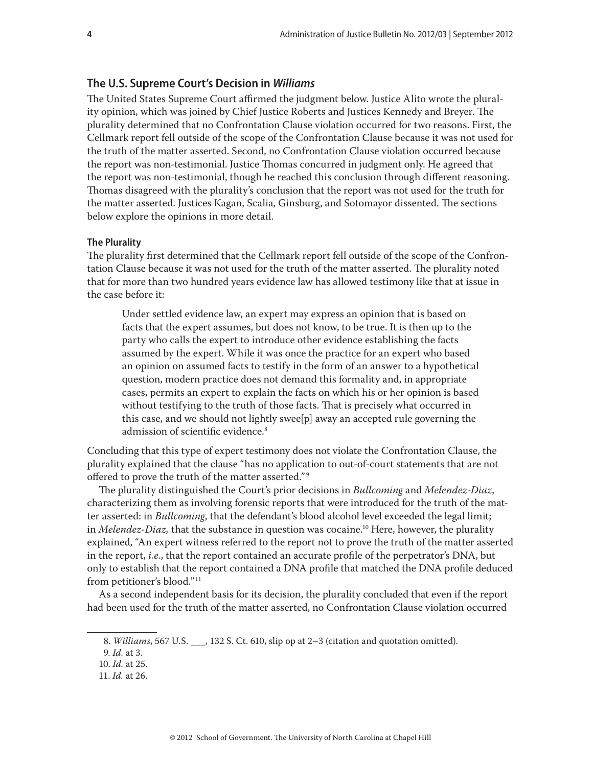# **The U.S. Supreme Court's Decision in** *Williams*

The United States Supreme Court affirmed the judgment below. Justice Alito wrote the plurality opinion, which was joined by Chief Justice Roberts and Justices Kennedy and Breyer. The plurality determined that no Confrontation Clause violation occurred for two reasons. First, the Cellmark report fell outside of the scope of the Confrontation Clause because it was not used for the truth of the matter asserted. Second, no Confrontation Clause violation occurred because the report was non-testimonial. Justice Thomas concurred in judgment only. He agreed that the report was non-testimonial, though he reached this conclusion through different reasoning. Thomas disagreed with the plurality's conclusion that the report was not used for the truth for the matter asserted. Justices Kagan, Scalia, Ginsburg, and Sotomayor dissented. The sections below explore the opinions in more detail.

#### **The Plurality**

The plurality first determined that the Cellmark report fell outside of the scope of the Confrontation Clause because it was not used for the truth of the matter asserted. The plurality noted that for more than two hundred years evidence law has allowed testimony like that at issue in the case before it:

Under settled evidence law, an expert may express an opinion that is based on facts that the expert assumes, but does not know, to be true. It is then up to the party who calls the expert to introduce other evidence establishing the facts assumed by the expert. While it was once the practice for an expert who based an opinion on assumed facts to testify in the form of an answer to a hypothetical question, modern practice does not demand this formality and, in appropriate cases, permits an expert to explain the facts on which his or her opinion is based without testifying to the truth of those facts. That is precisely what occurred in this case, and we should not lightly swee[p] away an accepted rule governing the admission of scientific evidence.<sup>8</sup>

Concluding that this type of expert testimony does not violate the Confrontation Clause, the plurality explained that the clause "has no application to out-of-court statements that are not offered to prove the truth of the matter asserted." <sup>9</sup>

The plurality distinguished the Court's prior decisions in *Bullcoming* and *Melendez-Diaz*, characterizing them as involving forensic reports that were introduced for the truth of the matter asserted: in *Bullcoming*, that the defendant's blood alcohol level exceeded the legal limit; in *Melendez-Diaz*, that the substance in question was cocaine.<sup>10</sup> Here, however, the plurality explained, "An expert witness referred to the report not to prove the truth of the matter asserted in the report, *i.e.*, that the report contained an accurate profile of the perpetrator's DNA, but only to establish that the report contained a DNA profile that matched the DNA profile deduced from petitioner's blood."<sup>11</sup>

As a second independent basis for its decision, the plurality concluded that even if the report had been used for the truth of the matter asserted, no Confrontation Clause violation occurred

<sup>8.</sup> *Williams*, 567 U.S. \_\_\_, 132 S. Ct. 610, slip op at 2–3 (citation and quotation omitted).

<sup>9.</sup> *Id.* at 3.

<sup>10.</sup> *Id.* at 25.

<sup>11.</sup> *Id.* at 26.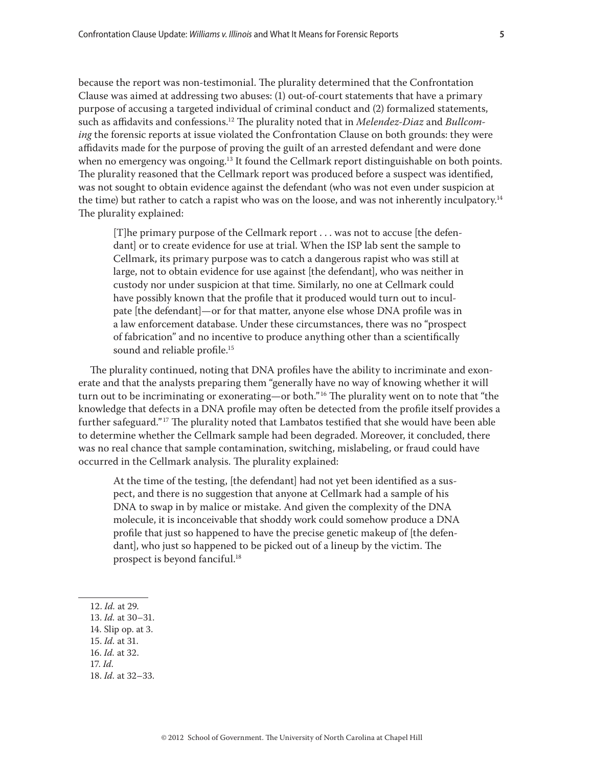because the report was non-testimonial. The plurality determined that the Confrontation Clause was aimed at addressing two abuses: (1) out-of-court statements that have a primary purpose of accusing a targeted individual of criminal conduct and (2) formalized statements, such as affidavits and confessions.12 The plurality noted that in *Melendez-Diaz* and *Bullcoming* the forensic reports at issue violated the Confrontation Clause on both grounds: they were affidavits made for the purpose of proving the guilt of an arrested defendant and were done when no emergency was ongoing.<sup>13</sup> It found the Cellmark report distinguishable on both points. The plurality reasoned that the Cellmark report was produced before a suspect was identified, was not sought to obtain evidence against the defendant (who was not even under suspicion at the time) but rather to catch a rapist who was on the loose, and was not inherently inculpatory.<sup>14</sup> The plurality explained:

[T]he primary purpose of the Cellmark report . . . was not to accuse [the defendant] or to create evidence for use at trial. When the ISP lab sent the sample to Cellmark, its primary purpose was to catch a dangerous rapist who was still at large, not to obtain evidence for use against [the defendant], who was neither in custody nor under suspicion at that time. Similarly, no one at Cellmark could have possibly known that the profile that it produced would turn out to inculpate [the defendant]—or for that matter, anyone else whose DNA profile was in a law enforcement database. Under these circumstances, there was no "prospect of fabrication" and no incentive to produce anything other than a scientifically sound and reliable profile.<sup>15</sup>

The plurality continued, noting that DNA profiles have the ability to incriminate and exonerate and that the analysts preparing them "generally have no way of knowing whether it will turn out to be incriminating or exonerating—or both."<sup>16</sup> The plurality went on to note that "the knowledge that defects in a DNA profile may often be detected from the profile itself provides a further safeguard."<sup>17</sup> The plurality noted that Lambatos testified that she would have been able to determine whether the Cellmark sample had been degraded. Moreover, it concluded, there was no real chance that sample contamination, switching, mislabeling, or fraud could have occurred in the Cellmark analysis. The plurality explained:

At the time of the testing, [the defendant] had not yet been identified as a suspect, and there is no suggestion that anyone at Cellmark had a sample of his DNA to swap in by malice or mistake. And given the complexity of the DNA molecule, it is inconceivable that shoddy work could somehow produce a DNA profile that just so happened to have the precise genetic makeup of [the defendant], who just so happened to be picked out of a lineup by the victim. The prospect is beyond fanciful.<sup>18</sup>

- 14. Slip op. at 3.
- 15. *Id.* at 31.
- 16. *Id.* at 32.
- 17. *Id.*
- 18. *Id.* at 32–33.

<sup>12.</sup> *Id.* at 29.

<sup>13.</sup> *Id.* at 30–31.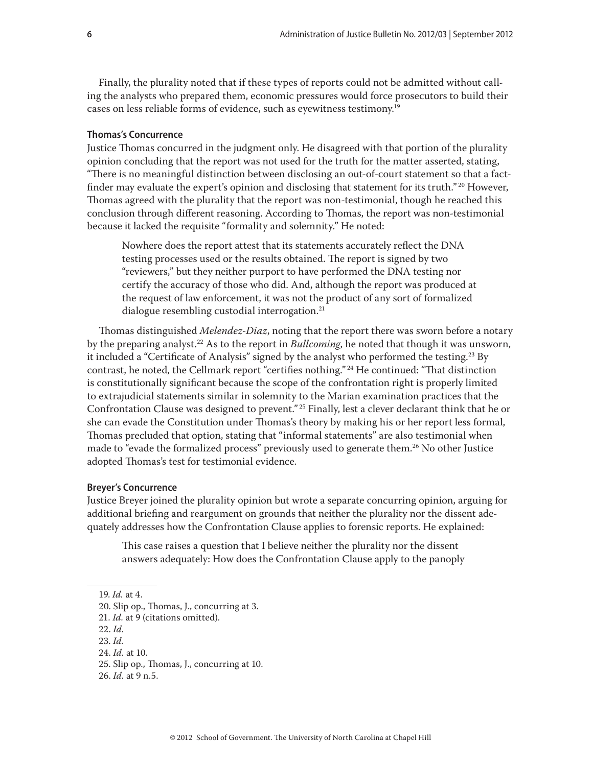Finally, the plurality noted that if these types of reports could not be admitted without calling the analysts who prepared them, economic pressures would force prosecutors to build their cases on less reliable forms of evidence, such as eyewitness testimony.19

#### **Thomas's Concurrence**

Justice Thomas concurred in the judgment only. He disagreed with that portion of the plurality opinion concluding that the report was not used for the truth for the matter asserted, stating, "There is no meaningful distinction between disclosing an out-of-court statement so that a factfinder may evaluate the expert's opinion and disclosing that statement for its truth."<sup>20</sup> However, Thomas agreed with the plurality that the report was non-testimonial, though he reached this conclusion through different reasoning. According to Thomas, the report was non-testimonial because it lacked the requisite "formality and solemnity." He noted:

Nowhere does the report attest that its statements accurately reflect the DNA testing processes used or the results obtained. The report is signed by two "reviewers," but they neither purport to have performed the DNA testing nor certify the accuracy of those who did. And, although the report was produced at the request of law enforcement, it was not the product of any sort of formalized dialogue resembling custodial interrogation.<sup>21</sup>

Thomas distinguished *Melendez-Diaz*, noting that the report there was sworn before a notary by the preparing analyst.22 As to the report in *Bullcoming*, he noted that though it was unsworn, it included a "Certificate of Analysis" signed by the analyst who performed the testing.<sup>23</sup> By contrast, he noted, the Cellmark report "certifies nothing."<sup>24</sup> He continued: "That distinction is constitutionally significant because the scope of the confrontation right is properly limited to extrajudicial statements similar in solemnity to the Marian examination practices that the Confrontation Clause was designed to prevent." 25 Finally, lest a clever declarant think that he or she can evade the Constitution under Thomas's theory by making his or her report less formal, Thomas precluded that option, stating that "informal statements" are also testimonial when made to "evade the formalized process" previously used to generate them.<sup>26</sup> No other Justice adopted Thomas's test for testimonial evidence.

#### **Breyer's Concurrence**

Justice Breyer joined the plurality opinion but wrote a separate concurring opinion, arguing for additional briefing and reargument on grounds that neither the plurality nor the dissent adequately addresses how the Confrontation Clause applies to forensic reports. He explained:

This case raises a question that I believe neither the plurality nor the dissent answers adequately: How does the Confrontation Clause apply to the panoply

- 22. *Id.*
- 23. *Id.*
- 24. *Id.* at 10.

26. *Id.* at 9 n.5.

<sup>19.</sup> *Id.* at 4.

<sup>20.</sup> Slip op., Thomas, J., concurring at 3.

<sup>21.</sup> *Id.* at 9 (citations omitted).

<sup>25.</sup> Slip op., Thomas, J., concurring at 10.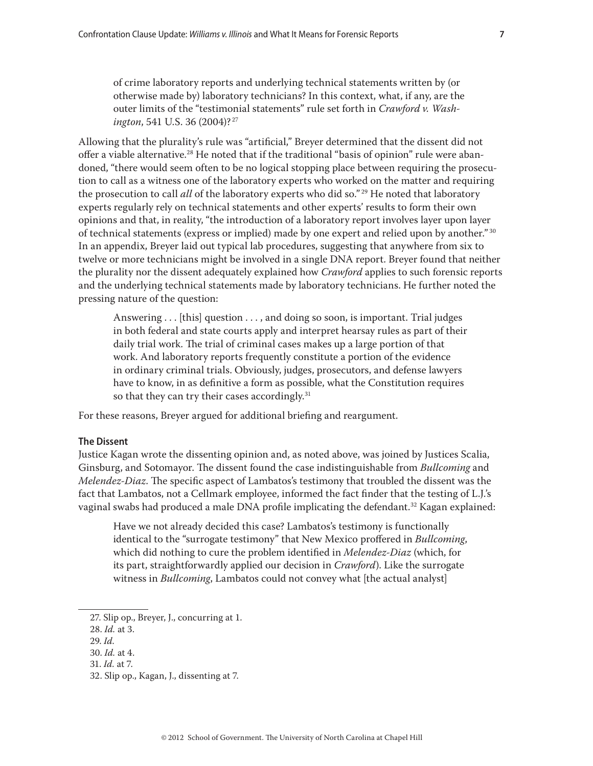of crime laboratory reports and underlying technical statements written by (or otherwise made by) laboratory technicians? In this context, what, if any, are the outer limits of the "testimonial statements" rule set forth in *Crawford v. Washington*, 541 U.S. 36 (2004)?<sup>27</sup>

Allowing that the plurality's rule was "artificial," Breyer determined that the dissent did not offer a viable alternative.<sup>28</sup> He noted that if the traditional "basis of opinion" rule were abandoned, "there would seem often to be no logical stopping place between requiring the prosecution to call as a witness one of the laboratory experts who worked on the matter and requiring the prosecution to call *all* of the laboratory experts who did so." 29 He noted that laboratory experts regularly rely on technical statements and other experts' results to form their own opinions and that, in reality, "the introduction of a laboratory report involves layer upon layer of technical statements (express or implied) made by one expert and relied upon by another." <sup>30</sup> In an appendix, Breyer laid out typical lab procedures, suggesting that anywhere from six to twelve or more technicians might be involved in a single DNA report. Breyer found that neither the plurality nor the dissent adequately explained how *Crawford* applies to such forensic reports and the underlying technical statements made by laboratory technicians. He further noted the pressing nature of the question:

Answering . . . [this] question . . . , and doing so soon, is important. Trial judges in both federal and state courts apply and interpret hearsay rules as part of their daily trial work. The trial of criminal cases makes up a large portion of that work. And laboratory reports frequently constitute a portion of the evidence in ordinary criminal trials. Obviously, judges, prosecutors, and defense lawyers have to know, in as definitive a form as possible, what the Constitution requires so that they can try their cases accordingly.<sup>31</sup>

For these reasons, Breyer argued for additional briefing and reargument.

# **The Dissent**

Justice Kagan wrote the dissenting opinion and, as noted above, was joined by Justices Scalia, Ginsburg, and Sotomayor. The dissent found the case indistinguishable from *Bullcoming* and *Melendez-Diaz*. The specific aspect of Lambatos's testimony that troubled the dissent was the fact that Lambatos, not a Cellmark employee, informed the fact finder that the testing of L.J.'s vaginal swabs had produced a male DNA profile implicating the defendant.<sup>32</sup> Kagan explained:

Have we not already decided this case? Lambatos's testimony is functionally identical to the "surrogate testimony" that New Mexico proffered in *Bullcoming*, which did nothing to cure the problem identified in *Melendez-Diaz* (which, for its part, straightforwardly applied our decision in *Crawford*). Like the surrogate witness in *Bullcoming*, Lambatos could not convey what [the actual analyst]

28. *Id.* at 3.

29. *Id.*

30. *Id.* at 4.

<sup>27.</sup> Slip op., Breyer, J., concurring at 1.

<sup>31.</sup> *Id.* at 7.

<sup>32.</sup> Slip op., Kagan, J., dissenting at 7.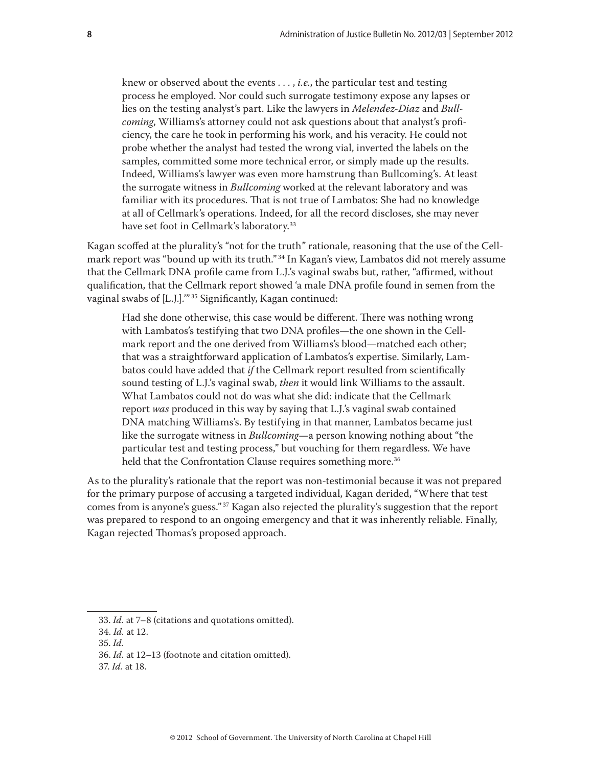knew or observed about the events . . . , *i.e.*, the particular test and testing process he employed. Nor could such surrogate testimony expose any lapses or lies on the testing analyst's part. Like the lawyers in *Melendez-Diaz* and *Bullcoming*, Williams's attorney could not ask questions about that analyst's proficiency, the care he took in performing his work, and his veracity. He could not probe whether the analyst had tested the wrong vial, inverted the labels on the samples, committed some more technical error, or simply made up the results. Indeed, Williams's lawyer was even more hamstrung than Bullcoming's. At least the surrogate witness in *Bullcoming* worked at the relevant laboratory and was familiar with its procedures. That is not true of Lambatos: She had no knowledge at all of Cellmark's operations. Indeed, for all the record discloses, she may never have set foot in Cellmark's laboratory.<sup>33</sup>

Kagan scoffed at the plurality's "not for the truth" rationale, reasoning that the use of the Cellmark report was "bound up with its truth."<sup>34</sup> In Kagan's view, Lambatos did not merely assume that the Cellmark DNA profile came from L.J.'s vaginal swabs but, rather, "affirmed, without qualification, that the Cellmark report showed 'a male DNA profile found in semen from the vaginal swabs of [L.J.]."<sup>35</sup> Significantly, Kagan continued:

Had she done otherwise, this case would be different. There was nothing wrong with Lambatos's testifying that two DNA profiles—the one shown in the Cellmark report and the one derived from Williams's blood—matched each other; that was a straightforward application of Lambatos's expertise. Similarly, Lambatos could have added that *if* the Cellmark report resulted from scientifically sound testing of L.J.'s vaginal swab, *then* it would link Williams to the assault. What Lambatos could not do was what she did: indicate that the Cellmark report *was* produced in this way by saying that L.J.'s vaginal swab contained DNA matching Williams's. By testifying in that manner, Lambatos became just like the surrogate witness in *Bullcoming*—a person knowing nothing about "the particular test and testing process," but vouching for them regardless. We have held that the Confrontation Clause requires something more.<sup>36</sup>

As to the plurality's rationale that the report was non-testimonial because it was not prepared for the primary purpose of accusing a targeted individual, Kagan derided, "Where that test comes from is anyone's guess." 37 Kagan also rejected the plurality's suggestion that the report was prepared to respond to an ongoing emergency and that it was inherently reliable. Finally, Kagan rejected Thomas's proposed approach.

<sup>33.</sup> *Id.* at 7–8 (citations and quotations omitted).

<sup>34.</sup> *Id.* at 12.

<sup>35.</sup> *Id.*

<sup>36.</sup> *Id.* at 12–13 (footnote and citation omitted).

<sup>37.</sup> *Id.* at 18.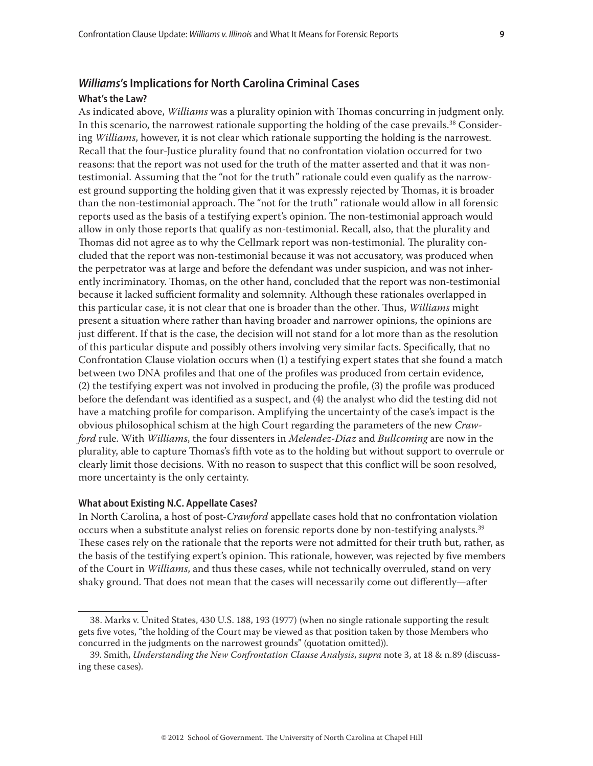# *Williams***'s Implications for North Carolina Criminal Cases**

# **What's the Law?**

As indicated above, *Williams* was a plurality opinion with Thomas concurring in judgment only. In this scenario, the narrowest rationale supporting the holding of the case prevails.<sup>38</sup> Considering *Williams*, however, it is not clear which rationale supporting the holding is the narrowest. Recall that the four-Justice plurality found that no confrontation violation occurred for two reasons: that the report was not used for the truth of the matter asserted and that it was nontestimonial. Assuming that the "not for the truth" rationale could even qualify as the narrowest ground supporting the holding given that it was expressly rejected by Thomas, it is broader than the non-testimonial approach. The "not for the truth" rationale would allow in all forensic reports used as the basis of a testifying expert's opinion. The non-testimonial approach would allow in only those reports that qualify as non-testimonial. Recall, also, that the plurality and Thomas did not agree as to why the Cellmark report was non-testimonial. The plurality concluded that the report was non-testimonial because it was not accusatory, was produced when the perpetrator was at large and before the defendant was under suspicion, and was not inherently incriminatory. Thomas, on the other hand, concluded that the report was non-testimonial because it lacked sufficient formality and solemnity. Although these rationales overlapped in this particular case, it is not clear that one is broader than the other. Thus, *Williams* might present a situation where rather than having broader and narrower opinions, the opinions are just different. If that is the case, the decision will not stand for a lot more than as the resolution of this particular dispute and possibly others involving very similar facts. Specifically, that no Confrontation Clause violation occurs when (1) a testifying expert states that she found a match between two DNA profiles and that one of the profiles was produced from certain evidence, (2) the testifying expert was not involved in producing the profile, (3) the profile was produced before the defendant was identified as a suspect, and (4) the analyst who did the testing did not have a matching profile for comparison. Amplifying the uncertainty of the case's impact is the obvious philosophical schism at the high Court regarding the parameters of the new *Crawford* rule. With *Williams*, the four dissenters in *Melendez-Diaz* and *Bullcoming* are now in the plurality, able to capture Thomas's fifth vote as to the holding but without support to overrule or clearly limit those decisions. With no reason to suspect that this conflict will be soon resolved, more uncertainty is the only certainty.

# **What about Existing N.C. Appellate Cases?**

In North Carolina, a host of post-*Crawford* appellate cases hold that no confrontation violation occurs when a substitute analyst relies on forensic reports done by non-testifying analysts.39 These cases rely on the rationale that the reports were not admitted for their truth but, rather, as the basis of the testifying expert's opinion. This rationale, however, was rejected by five members of the Court in *Williams*, and thus these cases, while not technically overruled, stand on very shaky ground. That does not mean that the cases will necessarily come out differently—after

<sup>38.</sup> Marks v. United States, 430 U.S. 188, 193 (1977) (when no single rationale supporting the result gets five votes, "the holding of the Court may be viewed as that position taken by those Members who concurred in the judgments on the narrowest grounds" (quotation omitted)).

<sup>39.</sup> Smith, *Understanding the New Confrontation Clause Analysis*, *supra* note 3, at 18 & n.89 (discussing these cases).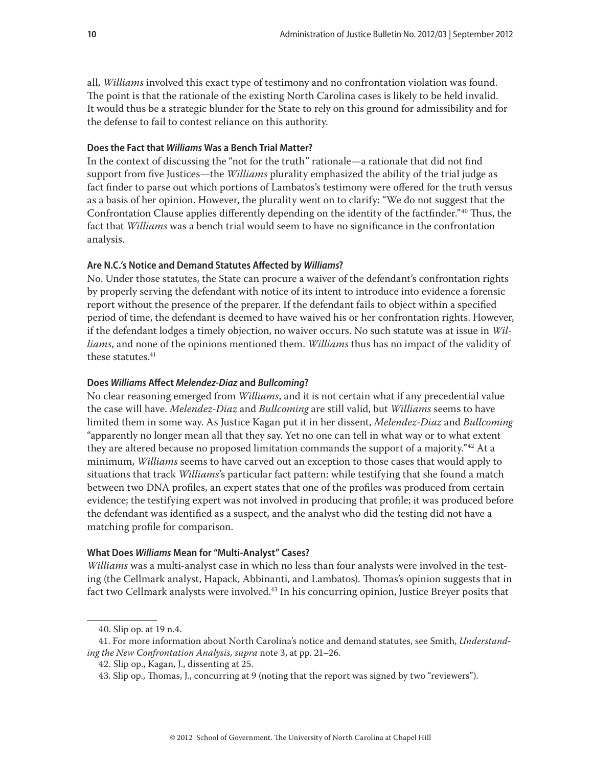all, *Williams* involved this exact type of testimony and no confrontation violation was found. The point is that the rationale of the existing North Carolina cases is likely to be held invalid. It would thus be a strategic blunder for the State to rely on this ground for admissibility and for the defense to fail to contest reliance on this authority.

#### **Does the Fact that** *Williams* **Was a Bench Trial Matter?**

In the context of discussing the "not for the truth" rationale—a rationale that did not find support from five Justices—the *Williams* plurality emphasized the ability of the trial judge as fact finder to parse out which portions of Lambatos's testimony were offered for the truth versus as a basis of her opinion. However, the plurality went on to clarify: "We do not suggest that the Confrontation Clause applies differently depending on the identity of the factfinder."40 Thus, the fact that *Williams* was a bench trial would seem to have no significance in the confrontation analysis.

# **Are N.C.'s Notice and Demand Statutes Affected by** *Williams***?**

No. Under those statutes, the State can procure a waiver of the defendant's confrontation rights by properly serving the defendant with notice of its intent to introduce into evidence a forensic report without the presence of the preparer. If the defendant fails to object within a specified period of time, the defendant is deemed to have waived his or her confrontation rights. However, if the defendant lodges a timely objection, no waiver occurs. No such statute was at issue in *Williams*, and none of the opinions mentioned them. *Williams* thus has no impact of the validity of these statutes.<sup>41</sup>

# **Does** *Williams* **Affect** *Melendez-Diaz* **and** *Bullcoming***?**

No clear reasoning emerged from *Williams*, and it is not certain what if any precedential value the case will have. *Melendez-Diaz* and *Bullcoming* are still valid, but *Williams* seems to have limited them in some way. As Justice Kagan put it in her dissent, *Melendez-Diaz* and *Bullcoming* "apparently no longer mean all that they say. Yet no one can tell in what way or to what extent they are altered because no proposed limitation commands the support of a majority.<sup>"42</sup> At a minimum, *Williams* seems to have carved out an exception to those cases that would apply to situations that track *Williams*'s particular fact pattern: while testifying that she found a match between two DNA profiles, an expert states that one of the profiles was produced from certain evidence; the testifying expert was not involved in producing that profile; it was produced before the defendant was identified as a suspect, and the analyst who did the testing did not have a matching profile for comparison.

# **What Does** *Williams* **Mean for "Multi-Analyst" Cases?**

*Williams* was a multi-analyst case in which no less than four analysts were involved in the testing (the Cellmark analyst, Hapack, Abbinanti, and Lambatos). Thomas's opinion suggests that in fact two Cellmark analysts were involved.<sup>43</sup> In his concurring opinion, Justice Breyer posits that

<sup>40.</sup> Slip op. at 19 n.4.

<sup>41.</sup> For more information about North Carolina's notice and demand statutes, see Smith, *Understanding the New Confrontation Analysis, supra* note 3, at pp. 21–26.

<sup>42.</sup> Slip op., Kagan, J., dissenting at 25.

<sup>43.</sup> Slip op., Thomas, J., concurring at 9 (noting that the report was signed by two "reviewers").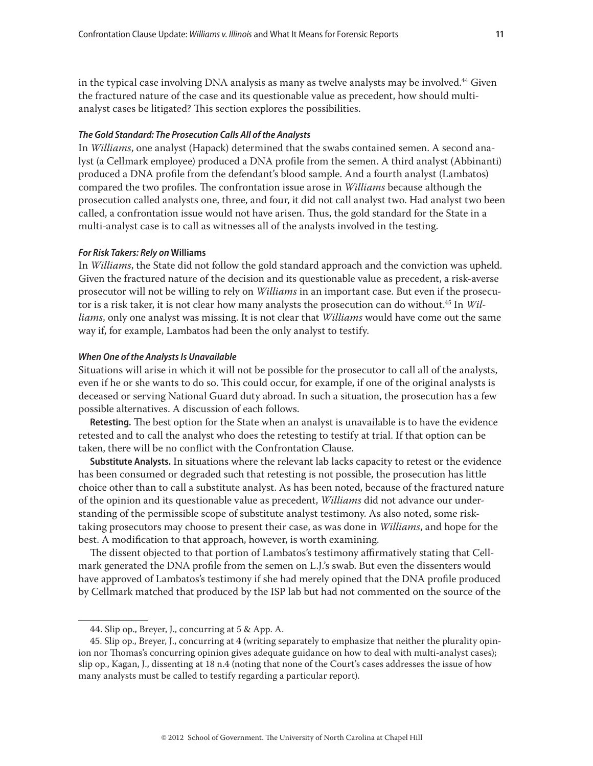in the typical case involving DNA analysis as many as twelve analysts may be involved.<sup>44</sup> Given the fractured nature of the case and its questionable value as precedent, how should multianalyst cases be litigated? This section explores the possibilities.

#### *The Gold Standard: The Prosecution Calls All of the Analysts*

In *Williams*, one analyst (Hapack) determined that the swabs contained semen. A second analyst (a Cellmark employee) produced a DNA profile from the semen. A third analyst (Abbinanti) produced a DNA profile from the defendant's blood sample. And a fourth analyst (Lambatos) compared the two profiles. The confrontation issue arose in *Williams* because although the prosecution called analysts one, three, and four, it did not call analyst two. Had analyst two been called, a confrontation issue would not have arisen. Thus, the gold standard for the State in a multi-analyst case is to call as witnesses all of the analysts involved in the testing.

#### *For Risk Takers: Rely on* **Williams**

In *Williams*, the State did not follow the gold standard approach and the conviction was upheld. Given the fractured nature of the decision and its questionable value as precedent, a risk-averse prosecutor will not be willing to rely on *Williams* in an important case. But even if the prosecutor is a risk taker, it is not clear how many analysts the prosecution can do without.45 In *Williams*, only one analyst was missing. It is not clear that *Williams* would have come out the same way if, for example, Lambatos had been the only analyst to testify.

#### *When One of the Analysts Is Unavailable*

Situations will arise in which it will not be possible for the prosecutor to call all of the analysts, even if he or she wants to do so. This could occur, for example, if one of the original analysts is deceased or serving National Guard duty abroad. In such a situation, the prosecution has a few possible alternatives. A discussion of each follows.

**Retesting.** The best option for the State when an analyst is unavailable is to have the evidence retested and to call the analyst who does the retesting to testify at trial. If that option can be taken, there will be no conflict with the Confrontation Clause.

**Substitute Analysts.** In situations where the relevant lab lacks capacity to retest or the evidence has been consumed or degraded such that retesting is not possible, the prosecution has little choice other than to call a substitute analyst. As has been noted, because of the fractured nature of the opinion and its questionable value as precedent, *Williams* did not advance our understanding of the permissible scope of substitute analyst testimony. As also noted, some risktaking prosecutors may choose to present their case, as was done in *Williams*, and hope for the best. A modification to that approach, however, is worth examining.

The dissent objected to that portion of Lambatos's testimony affirmatively stating that Cellmark generated the DNA profile from the semen on L.J.'s swab. But even the dissenters would have approved of Lambatos's testimony if she had merely opined that the DNA profile produced by Cellmark matched that produced by the ISP lab but had not commented on the source of the

<sup>44.</sup> Slip op., Breyer, J., concurring at 5 & App. A.

<sup>45.</sup> Slip op., Breyer, J., concurring at 4 (writing separately to emphasize that neither the plurality opinion nor Thomas's concurring opinion gives adequate guidance on how to deal with multi-analyst cases); slip op., Kagan, J., dissenting at 18 n.4 (noting that none of the Court's cases addresses the issue of how many analysts must be called to testify regarding a particular report).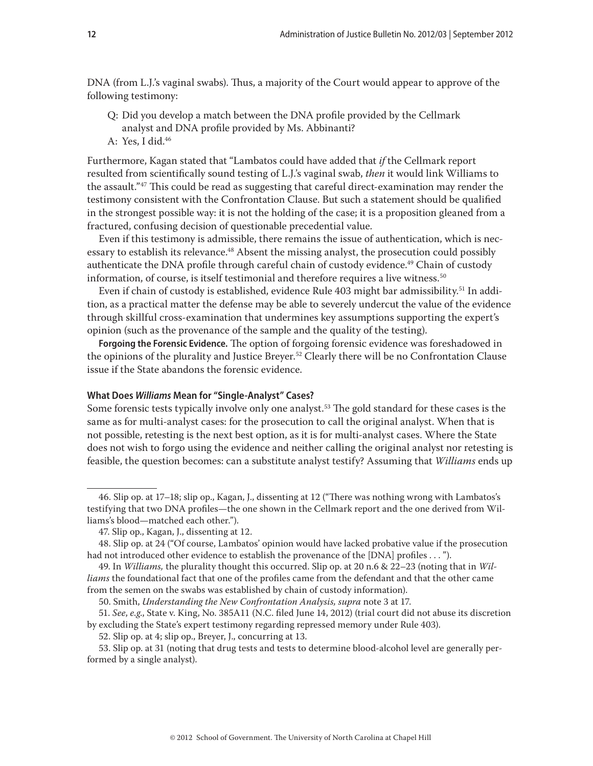DNA (from L.J.'s vaginal swabs). Thus, a majority of the Court would appear to approve of the following testimony:

- Q: Did you develop a match between the DNA profile provided by the Cellmark analyst and DNA profile provided by Ms. Abbinanti?
- A: Yes, I did.46

Furthermore, Kagan stated that "Lambatos could have added that *if* the Cellmark report resulted from scientifically sound testing of L.J.'s vaginal swab, *then* it would link Williams to the assault."<sup>47</sup> This could be read as suggesting that careful direct-examination may render the testimony consistent with the Confrontation Clause. But such a statement should be qualified in the strongest possible way: it is not the holding of the case; it is a proposition gleaned from a fractured, confusing decision of questionable precedential value.

Even if this testimony is admissible, there remains the issue of authentication, which is necessary to establish its relevance.<sup>48</sup> Absent the missing analyst, the prosecution could possibly authenticate the DNA profile through careful chain of custody evidence.<sup>49</sup> Chain of custody information, of course, is itself testimonial and therefore requires a live witness.<sup>50</sup>

Even if chain of custody is established, evidence Rule 403 might bar admissibility.<sup>51</sup> In addition, as a practical matter the defense may be able to severely undercut the value of the evidence through skillful cross-examination that undermines key assumptions supporting the expert's opinion (such as the provenance of the sample and the quality of the testing).

**Forgoing the Forensic Evidence.** The option of forgoing forensic evidence was foreshadowed in the opinions of the plurality and Justice Breyer.<sup>52</sup> Clearly there will be no Confrontation Clause issue if the State abandons the forensic evidence.

# **What Does** *Williams* **Mean for "Single-Analyst" Cases?**

Some forensic tests typically involve only one analyst.<sup>53</sup> The gold standard for these cases is the same as for multi-analyst cases: for the prosecution to call the original analyst. When that is not possible, retesting is the next best option, as it is for multi-analyst cases. Where the State does not wish to forgo using the evidence and neither calling the original analyst nor retesting is feasible, the question becomes: can a substitute analyst testify? Assuming that *Williams* ends up

<sup>46.</sup> Slip op. at 17–18; slip op., Kagan, J., dissenting at 12 ("There was nothing wrong with Lambatos's testifying that two DNA profiles—the one shown in the Cellmark report and the one derived from Williams's blood—matched each other.").

<sup>47.</sup> Slip op., Kagan, J., dissenting at 12.

<sup>48.</sup> Slip op. at 24 ("Of course, Lambatos' opinion would have lacked probative value if the prosecution had not introduced other evidence to establish the provenance of the [DNA] profiles . . . ").

<sup>49.</sup> In *Williams,* the plurality thought this occurred. Slip op. at 20 n.6 & 22–23 (noting that in *Williams* the foundational fact that one of the profiles came from the defendant and that the other came from the semen on the swabs was established by chain of custody information).

<sup>50.</sup> Smith, *Understanding the New Confrontation Analysis, supra* note 3 at 17.

<sup>51.</sup> *See*, *e.g*., State v. King, No. 385A11 (N.C. filed June 14, 2012) (trial court did not abuse its discretion by excluding the State's expert testimony regarding repressed memory under Rule 403).

<sup>52.</sup> Slip op. at 4; slip op., Breyer, J., concurring at 13.

<sup>53.</sup> Slip op. at 31 (noting that drug tests and tests to determine blood-alcohol level are generally performed by a single analyst).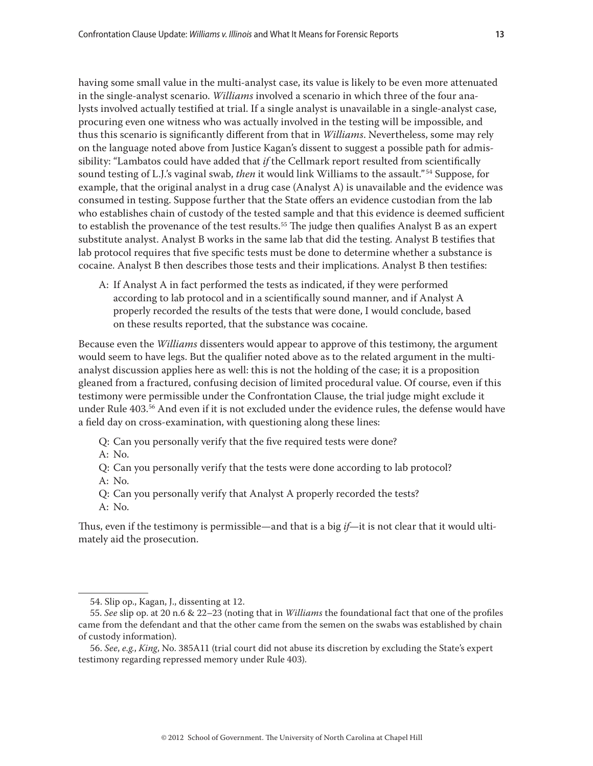having some small value in the multi-analyst case, its value is likely to be even more attenuated in the single-analyst scenario. *Williams* involved a scenario in which three of the four analysts involved actually testified at trial. If a single analyst is unavailable in a single-analyst case, procuring even one witness who was actually involved in the testing will be impossible, and thus this scenario is significantly different from that in *Williams*. Nevertheless, some may rely on the language noted above from Justice Kagan's dissent to suggest a possible path for admissibility: "Lambatos could have added that *if* the Cellmark report resulted from scientifically sound testing of L.J.'s vaginal swab, *then* it would link Williams to the assault." 54 Suppose, for example, that the original analyst in a drug case (Analyst A) is unavailable and the evidence was consumed in testing. Suppose further that the State offers an evidence custodian from the lab who establishes chain of custody of the tested sample and that this evidence is deemed sufficient to establish the provenance of the test results.<sup>55</sup> The judge then qualifies Analyst B as an expert substitute analyst. Analyst B works in the same lab that did the testing. Analyst B testifies that lab protocol requires that five specific tests must be done to determine whether a substance is cocaine. Analyst B then describes those tests and their implications. Analyst B then testifies:

A: If Analyst A in fact performed the tests as indicated, if they were performed according to lab protocol and in a scientifically sound manner, and if Analyst A properly recorded the results of the tests that were done, I would conclude, based on these results reported, that the substance was cocaine.

Because even the *Williams* dissenters would appear to approve of this testimony, the argument would seem to have legs. But the qualifier noted above as to the related argument in the multianalyst discussion applies here as well: this is not the holding of the case; it is a proposition gleaned from a fractured, confusing decision of limited procedural value. Of course, even if this testimony were permissible under the Confrontation Clause, the trial judge might exclude it under Rule 403.56 And even if it is not excluded under the evidence rules, the defense would have a field day on cross-examination, with questioning along these lines:

Q: Can you personally verify that the five required tests were done?

A: No.

Q: Can you personally verify that the tests were done according to lab protocol?

A: No.

Q: Can you personally verify that Analyst A properly recorded the tests?

A: No.

Thus, even if the testimony is permissible—and that is a big *if*—it is not clear that it would ultimately aid the prosecution.

<sup>54.</sup> Slip op., Kagan, J., dissenting at 12.

<sup>55.</sup> *See* slip op. at 20 n.6 & 22–23 (noting that in *Williams* the foundational fact that one of the profiles came from the defendant and that the other came from the semen on the swabs was established by chain of custody information).

<sup>56.</sup> *See*, *e.g.*, *King*, No. 385A11 (trial court did not abuse its discretion by excluding the State's expert testimony regarding repressed memory under Rule 403).